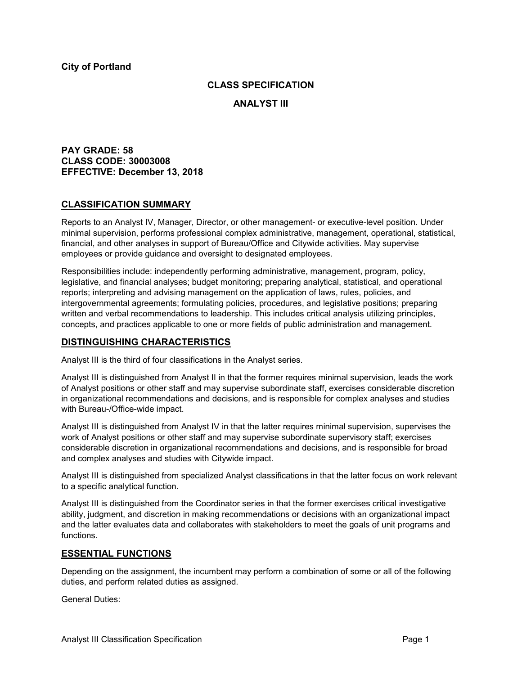## **CLASS SPECIFICATION**

**ANALYST III**

**PAY GRADE: 58 CLASS CODE: 30003008 EFFECTIVE: December 13, 2018**

# **CLASSIFICATION SUMMARY**

Reports to an Analyst IV, Manager, Director, or other management- or executive-level position. Under minimal supervision, performs professional complex administrative, management, operational, statistical, financial, and other analyses in support of Bureau/Office and Citywide activities. May supervise employees or provide guidance and oversight to designated employees.

Responsibilities include: independently performing administrative, management, program, policy, legislative, and financial analyses; budget monitoring; preparing analytical, statistical, and operational reports; interpreting and advising management on the application of laws, rules, policies, and intergovernmental agreements; formulating policies, procedures, and legislative positions; preparing written and verbal recommendations to leadership. This includes critical analysis utilizing principles, concepts, and practices applicable to one or more fields of public administration and management.

# **DISTINGUISHING CHARACTERISTICS**

Analyst III is the third of four classifications in the Analyst series.

Analyst III is distinguished from Analyst II in that the former requires minimal supervision, leads the work of Analyst positions or other staff and may supervise subordinate staff, exercises considerable discretion in organizational recommendations and decisions, and is responsible for complex analyses and studies with Bureau-/Office-wide impact.

Analyst III is distinguished from Analyst IV in that the latter requires minimal supervision, supervises the work of Analyst positions or other staff and may supervise subordinate supervisory staff; exercises considerable discretion in organizational recommendations and decisions, and is responsible for broad and complex analyses and studies with Citywide impact.

Analyst III is distinguished from specialized Analyst classifications in that the latter focus on work relevant to a specific analytical function.

Analyst III is distinguished from the Coordinator series in that the former exercises critical investigative ability, judgment, and discretion in making recommendations or decisions with an organizational impact and the latter evaluates data and collaborates with stakeholders to meet the goals of unit programs and functions*.*

## **ESSENTIAL FUNCTIONS**

Depending on the assignment, the incumbent may perform a combination of some or all of the following duties, and perform related duties as assigned.

General Duties: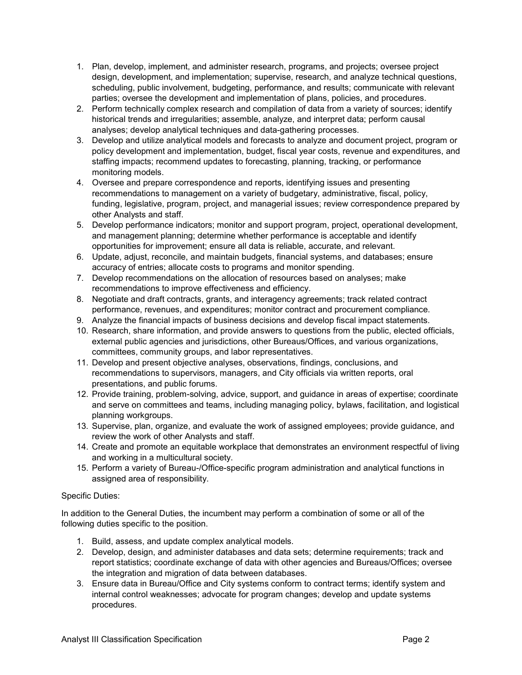- 1. Plan, develop, implement, and administer research, programs, and projects; oversee project design, development, and implementation; supervise, research, and analyze technical questions, scheduling, public involvement, budgeting, performance, and results; communicate with relevant parties; oversee the development and implementation of plans, policies, and procedures.
- 2. Perform technically complex research and compilation of data from a variety of sources; identify historical trends and irregularities; assemble, analyze, and interpret data; perform causal analyses; develop analytical techniques and data-gathering processes.
- 3. Develop and utilize analytical models and forecasts to analyze and document project, program or policy development and implementation, budget, fiscal year costs, revenue and expenditures, and staffing impacts; recommend updates to forecasting, planning, tracking, or performance monitoring models.
- 4. Oversee and prepare correspondence and reports, identifying issues and presenting recommendations to management on a variety of budgetary, administrative, fiscal, policy, funding, legislative, program, project, and managerial issues; review correspondence prepared by other Analysts and staff.
- 5. Develop performance indicators; monitor and support program, project, operational development, and management planning; determine whether performance is acceptable and identify opportunities for improvement; ensure all data is reliable, accurate, and relevant.
- 6. Update, adjust, reconcile, and maintain budgets, financial systems, and databases; ensure accuracy of entries; allocate costs to programs and monitor spending.
- 7. Develop recommendations on the allocation of resources based on analyses; make recommendations to improve effectiveness and efficiency.
- 8. Negotiate and draft contracts, grants, and interagency agreements; track related contract performance, revenues, and expenditures; monitor contract and procurement compliance.
- 9. Analyze the financial impacts of business decisions and develop fiscal impact statements.
- 10. Research, share information, and provide answers to questions from the public, elected officials, external public agencies and jurisdictions, other Bureaus/Offices, and various organizations, committees, community groups, and labor representatives.
- 11. Develop and present objective analyses, observations, findings, conclusions, and recommendations to supervisors, managers, and City officials via written reports, oral presentations, and public forums.
- 12. Provide training, problem-solving, advice, support, and guidance in areas of expertise; coordinate and serve on committees and teams, including managing policy, bylaws, facilitation, and logistical planning workgroups.
- 13. Supervise, plan, organize, and evaluate the work of assigned employees; provide guidance, and review the work of other Analysts and staff.
- 14. Create and promote an equitable workplace that demonstrates an environment respectful of living and working in a multicultural society.
- 15. Perform a variety of Bureau-/Office-specific program administration and analytical functions in assigned area of responsibility.

## Specific Duties:

In addition to the General Duties, the incumbent may perform a combination of some or all of the following duties specific to the position.

- 1. Build, assess, and update complex analytical models.
- 2. Develop, design, and administer databases and data sets; determine requirements; track and report statistics; coordinate exchange of data with other agencies and Bureaus/Offices; oversee the integration and migration of data between databases.
- 3. Ensure data in Bureau/Office and City systems conform to contract terms; identify system and internal control weaknesses; advocate for program changes; develop and update systems procedures.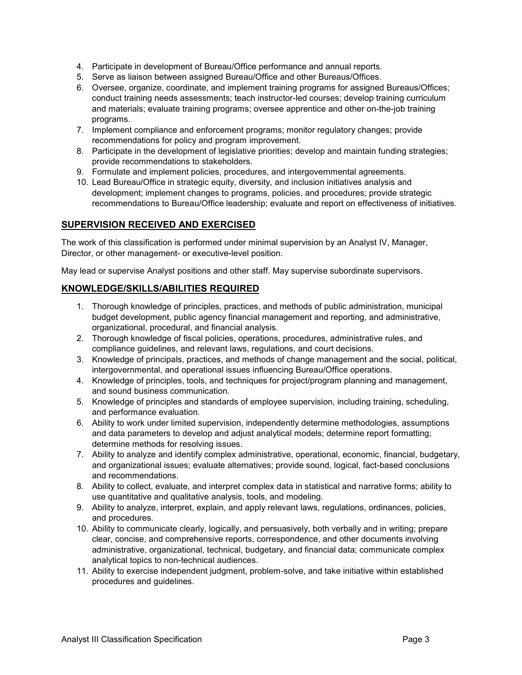- 4. Participate in development of Bureau/Office performance and annual reports.
- 5. Serve as liaison between assigned Bureau/Office and other Bureaus/Offices.
- 6. Oversee, organize, coordinate, and implement training programs for assigned Bureaus/Offices; conduct training needs assessments; teach instructor-led courses; develop training curriculum and materials; evaluate training programs; oversee apprentice and other on-the-job training programs.
- 7. Implement compliance and enforcement programs; monitor regulatory changes; provide recommendations for policy and program improvement.
- 8. Participate in the development of legislative priorities; develop and maintain funding strategies; provide recommendations to stakeholders.
- 9. Formulate and implement policies, procedures, and intergovernmental agreements.
- 10. Lead Bureau/Office in strategic equity, diversity, and inclusion initiatives analysis and development; implement changes to programs, policies, and procedures; provide strategic recommendations to Bureau/Office leadership; evaluate and report on effectiveness of initiatives.

# **SUPERVISION RECEIVED AND EXERCISED**

The work of this classification is performed under minimal supervision by an Analyst IV, Manager, Director, or other management- or executive-level position.

May lead or supervise Analyst positions and other staff. May supervise subordinate supervisors.

## **KNOWLEDGE/SKILLS/ABILITIES REQUIRED**

- 1. Thorough knowledge of principles, practices, and methods of public administration, municipal budget development, public agency financial management and reporting, and administrative, organizational, procedural, and financial analysis.
- 2. Thorough knowledge of fiscal policies, operations, procedures, administrative rules, and compliance guidelines, and relevant laws, regulations, and court decisions.
- 3. Knowledge of principals, practices, and methods of change management and the social, political, intergovernmental, and operational issues influencing Bureau/Office operations.
- 4. Knowledge of principles, tools, and techniques for project/program planning and management, and sound business communication.
- 5. Knowledge of principles and standards of employee supervision, including training, scheduling, and performance evaluation.
- 6. Ability to work under limited supervision, independently determine methodologies, assumptions and data parameters to develop and adjust analytical models; determine report formatting; determine methods for resolving issues.
- 7. Ability to analyze and identify complex administrative, operational, economic, financial, budgetary, and organizational issues; evaluate alternatives; provide sound, logical, fact-based conclusions and recommendations.
- 8. Ability to collect, evaluate, and interpret complex data in statistical and narrative forms; ability to use quantitative and qualitative analysis, tools, and modeling.
- 9. Ability to analyze, interpret, explain, and apply relevant laws, regulations, ordinances, policies, and procedures.
- 10. Ability to communicate clearly, logically, and persuasively, both verbally and in writing; prepare clear, concise, and comprehensive reports, correspondence, and other documents involving administrative, organizational, technical, budgetary, and financial data; communicate complex analytical topics to non-technical audiences.
- 11. Ability to exercise independent judgment, problem-solve, and take initiative within established procedures and guidelines.